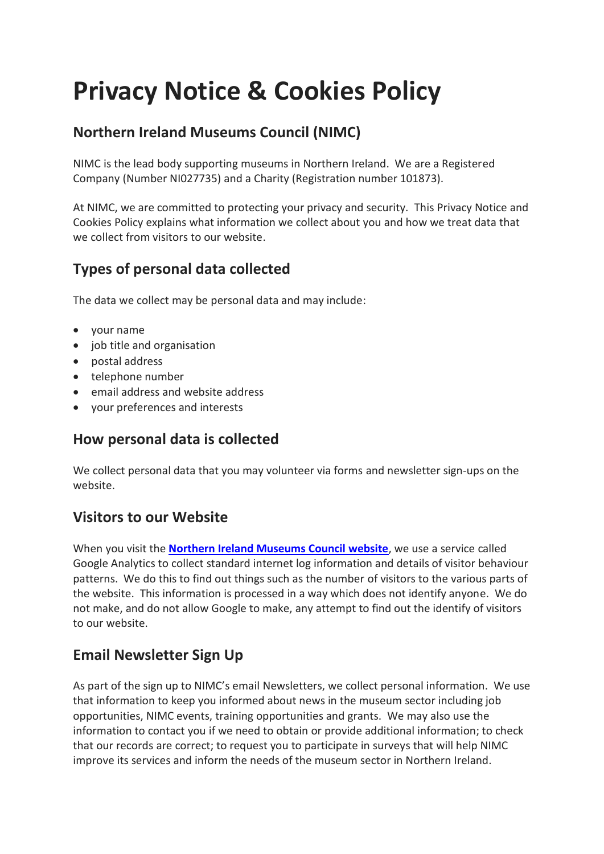# **Privacy Notice & Cookies Policy**

## **Northern Ireland Museums Council (NIMC)**

NIMC is the lead body supporting museums in Northern Ireland. We are a Registered Company (Number NI027735) and a Charity (Registration number 101873).

At NIMC, we are committed to protecting your privacy and security. This Privacy Notice and Cookies Policy explains what information we collect about you and how we treat data that we collect from visitors to our website.

# **Types of personal data collected**

The data we collect may be personal data and may include:

- your name
- job title and organisation
- postal address
- telephone number
- email address and website address
- your preferences and interests

#### **How personal data is collected**

We collect personal data that you may volunteer via forms and newsletter sign-ups on the website.

#### **Visitors to our Website**

When you visit the **[Northern Ireland Museums Council website](http://www.nimc.co.uk/)**, we use a service called Google Analytics to collect standard internet log information and details of visitor behaviour patterns. We do this to find out things such as the number of visitors to the various parts of the website. This information is processed in a way which does not identify anyone. We do not make, and do not allow Google to make, any attempt to find out the identify of visitors to our website.

### **Email Newsletter Sign Up**

As part of the sign up to NIMC's email Newsletters, we collect personal information. We use that information to keep you informed about news in the museum sector including job opportunities, NIMC events, training opportunities and grants. We may also use the information to contact you if we need to obtain or provide additional information; to check that our records are correct; to request you to participate in surveys that will help NIMC improve its services and inform the needs of the museum sector in Northern Ireland.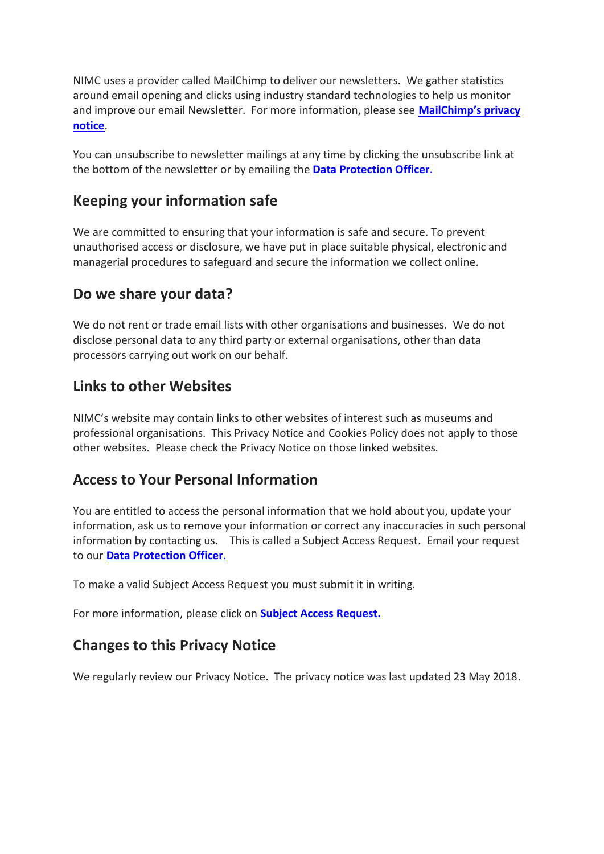NIMC uses a provider called MailChimp to deliver our newsletters. We gather statistics around email opening and clicks using industry standard technologies to help us monitor and improve our email Newsletter. For more information, please see **[MailChimp's privacy](https://mailchimp.com/legal/privacy/)  [notice](https://mailchimp.com/legal/privacy/)**.

You can unsubscribe to newsletter mailings at any time by clicking the unsubscribe link at the bottom of the newsletter or by emailing the **[Data Protection Officer](mailto:sinead.mccartan@nimc.co.uk)**.

#### **Keeping your information safe**

We are committed to ensuring that your information is safe and secure. To prevent unauthorised access or disclosure, we have put in place suitable physical, electronic and managerial procedures to safeguard and secure the information we collect online.

#### **Do we share your data?**

We do not rent or trade email lists with other organisations and businesses. We do not disclose personal data to any third party or external organisations, other than data processors carrying out work on our behalf.

#### **Links to other Websites**

NIMC's website may contain links to other websites of interest such as museums and professional organisations. This Privacy Notice and Cookies Policy does not apply to those other websites. Please check the Privacy Notice on those linked websites.

#### **Access to Your Personal Information**

You are entitled to access the personal information that we hold about you, update your information, ask us to remove your information or correct any inaccuracies in such personal information by contacting us. This is called a Subject Access Request. Email your request to our **[Data Protection Officer](mailto:sinead.mccartan@nimc.co.uk)**.

To make a valid Subject Access Request you must submit it in writing.

For more information, please click on **[Subject Access Request.](https://ico.org.uk/for-organisations/guide-to-data-protection/principle-6-rights/subject-access-request/)**

#### **Changes to this Privacy Notice**

We regularly review our Privacy Notice. The privacy notice was last updated 23 May 2018.